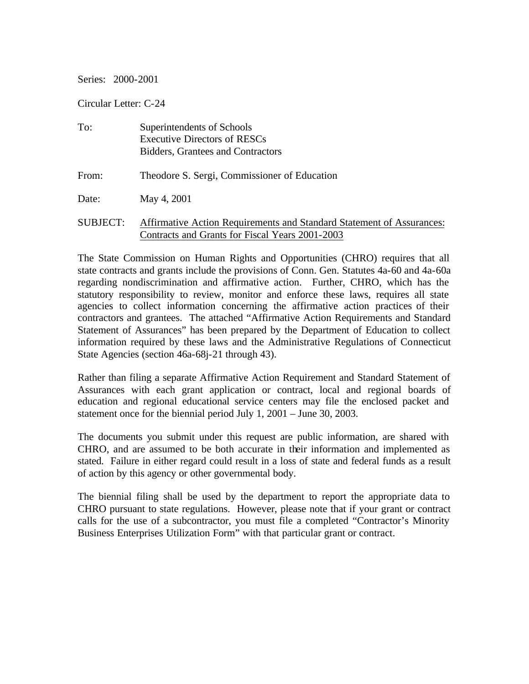#### Series: 2000-2001

Circular Letter: C-24

| To:             | Superintendents of Schools<br><b>Executive Directors of RESCs</b><br>Bidders, Grantees and Contractors                   |
|-----------------|--------------------------------------------------------------------------------------------------------------------------|
| From:           | Theodore S. Sergi, Commissioner of Education                                                                             |
| Date:           | May 4, 2001                                                                                                              |
| <b>SUBJECT:</b> | Affirmative Action Requirements and Standard Statement of Assurances:<br>Contracts and Grants for Fiscal Years 2001-2003 |

The State Commission on Human Rights and Opportunities (CHRO) requires that all state contracts and grants include the provisions of Conn. Gen. Statutes 4a-60 and 4a-60a regarding nondiscrimination and affirmative action. Further, CHRO, which has the statutory responsibility to review, monitor and enforce these laws, requires all state agencies to collect information concerning the affirmative action practices of their contractors and grantees. The attached "Affirmative Action Requirements and Standard Statement of Assurances" has been prepared by the Department of Education to collect information required by these laws and the Administrative Regulations of Connecticut State Agencies (section 46a-68j-21 through 43).

Rather than filing a separate Affirmative Action Requirement and Standard Statement of Assurances with each grant application or contract, local and regional boards of education and regional educational service centers may file the enclosed packet and statement once for the biennial period July 1, 2001 – June 30, 2003.

The documents you submit under this request are public information, are shared with CHRO, and are assumed to be both accurate in their information and implemented as stated. Failure in either regard could result in a loss of state and federal funds as a result of action by this agency or other governmental body.

The biennial filing shall be used by the department to report the appropriate data to CHRO pursuant to state regulations. However, please note that if your grant or contract calls for the use of a subcontractor, you must file a completed "Contractor's Minority Business Enterprises Utilization Form" with that particular grant or contract.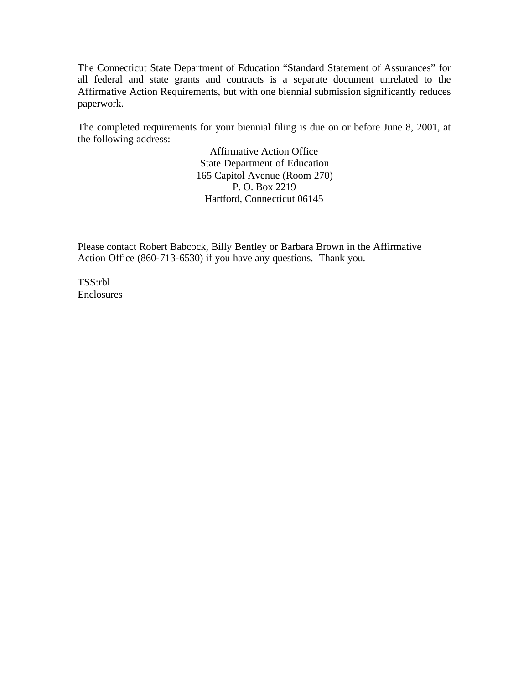The Connecticut State Department of Education "Standard Statement of Assurances" for all federal and state grants and contracts is a separate document unrelated to the Affirmative Action Requirements, but with one biennial submission significantly reduces paperwork.

The completed requirements for your biennial filing is due on or before June 8, 2001, at the following address:

> Affirmative Action Office State Department of Education 165 Capitol Avenue (Room 270) P. O. Box 2219 Hartford, Connecticut 06145

Please contact Robert Babcock, Billy Bentley or Barbara Brown in the Affirmative Action Office (860-713-6530) if you have any questions. Thank you.

TSS:rbl Enclosures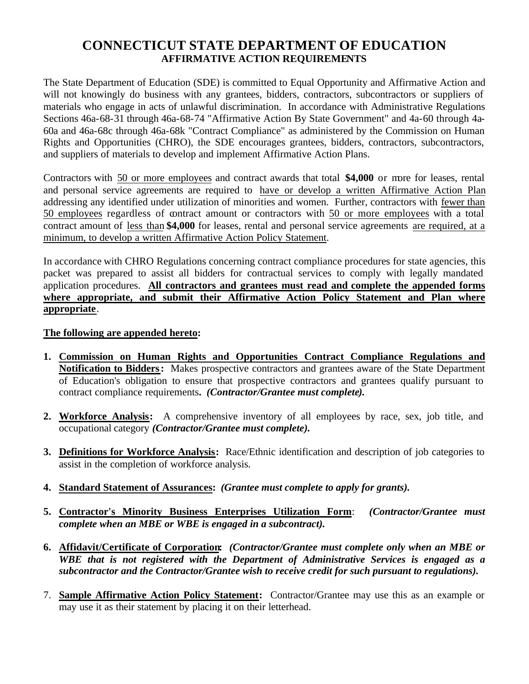# **CONNECTICUT STATE DEPARTMENT OF EDUCATION AFFIRMATIVE ACTION REQUIREMENTS**

The State Department of Education (SDE) is committed to Equal Opportunity and Affirmative Action and will not knowingly do business with any grantees, bidders, contractors, subcontractors or suppliers of materials who engage in acts of unlawful discrimination. In accordance with Administrative Regulations Sections 46a-68-31 through 46a-68-74 "Affirmative Action By State Government" and 4a-60 through 4a-60a and 46a-68c through 46a-68k "Contract Compliance" as administered by the Commission on Human Rights and Opportunities (CHRO), the SDE encourages grantees, bidders, contractors, subcontractors, and suppliers of materials to develop and implement Affirmative Action Plans.

Contractors with 50 or more employees and contract awards that total **\$4,000** or more for leases, rental and personal service agreements are required to have or develop a written Affirmative Action Plan addressing any identified under utilization of minorities and women. Further, contractors with fewer than 50 employees regardless of contract amount or contractors with 50 or more employees with a total contract amount of less than **\$4,000** for leases, rental and personal service agreements are required, at a minimum, to develop a written Affirmative Action Policy Statement.

In accordance with CHRO Regulations concerning contract compliance procedures for state agencies, this packet was prepared to assist all bidders for contractual services to comply with legally mandated application procedures. **All contractors and grantees must read and complete the appended forms where appropriate, and submit their Affirmative Action Policy Statement and Plan where appropriate**.

### **The following are appended hereto:**

- **1. Commission on Human Rights and Opportunities Contract Compliance Regulations and Notification to Bidders :** Makes prospective contractors and grantees aware of the State Department of Education's obligation to ensure that prospective contractors and grantees qualify pursuant to contract compliance requirements**.** *(Contractor/Grantee must complete).*
- **2. Workforce Analysis:** A comprehensive inventory of all employees by race, sex, job title, and occupational category *(Contractor/Grantee must complete).*
- **3. Definitions for Workforce Analysis:** Race/Ethnic identification and description of job categories to assist in the completion of workforce analysis.
- **4. Standard Statement of Assurances:** *(Grantee must complete to apply for grants).*
- **5. Contractor's Minority Business Enterprises Utilization Form**: *(Contractor/Grantee must complete when an MBE or WBE is engaged in a subcontract).*
- **6. Affidavit/Certificate of Corporation:** *(Contractor/Grantee must complete only when an MBE or WBE that is not registered with the Department of Administrative Services is engaged as a subcontractor and the Contractor/Grantee wish to receive credit for such pursuant to regulations).*
- 7. **Sample Affirmative Action Policy Statement:** Contractor/Grantee may use this as an example or may use it as their statement by placing it on their letterhead.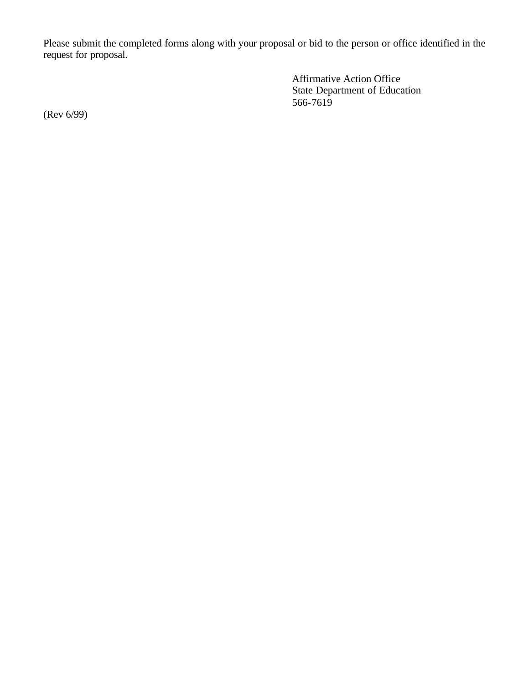Please submit the completed forms along with your proposal or bid to the person or office identified in the request for proposal.

> Affirmative Action Office State Department of Education 566-7619

(Rev 6/99)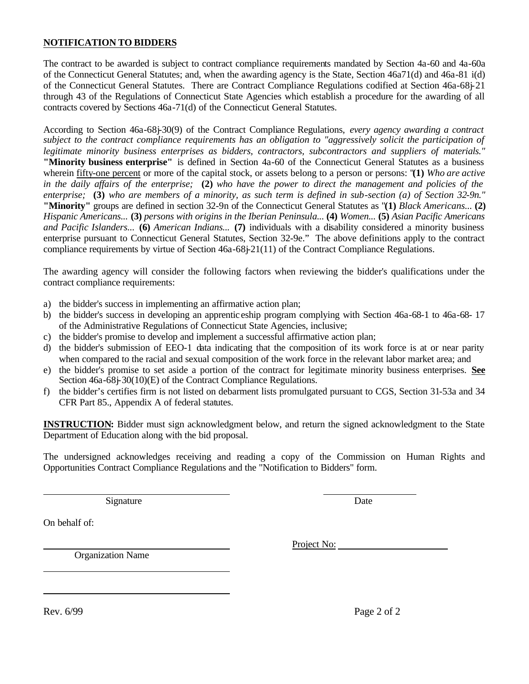### **NOTIFICATION TO BIDDERS**

The contract to be awarded is subject to contract compliance requirements mandated by Section 4a-60 and 4a-60a of the Connecticut General Statutes; and, when the awarding agency is the State, Section 46a71(d) and 46a-81 i(d) of the Connecticut General Statutes. There are Contract Compliance Regulations codified at Section 46a-68j-21 through 43 of the Regulations of Connecticut State Agencies which establish a procedure for the awarding of all contracts covered by Sections 46a-71(d) of the Connecticut General Statutes.

According to Section 46a-68j-30(9) of the Contract Compliance Regulations, *every agency awarding a contract subject to the contract compliance requirements has an obligation to "aggressively solicit the participation of legitimate minority business enterprises as bidders, contractors, subcontractors and suppliers of materials."*  **"Minority business enterprise"** is defined in Section 4a-60 of the Connecticut General Statutes as a business wherein fifty-one percent or more of the capital stock, or assets belong to a person or persons: "**(1)** *Who are active in the daily affairs of the enterprise;* **(2)** *who have the power to direct the management and policies of the enterprise;* **(3)** *who are members of a minority, as such term is defined in sub-section (a) of Section 32-9n."*  **"Minority"** groups are defined in section 32-9n of the Connecticut General Statutes as "**(1)** *Black Americans...* **(2)**  *Hispanic Americans...* **(3)** *persons with origins in the Iberian Peninsula...* **(4)** *Women...* **(5)** *Asian Pacific Americans and Pacific Islanders...* **(6)** *American Indians...* **(7)** individuals with a disability considered a minority business enterprise pursuant to Connecticut General Statutes, Section 32-9e." The above definitions apply to the contract compliance requirements by virtue of Section 46a-68j-21(11) of the Contract Compliance Regulations.

The awarding agency will consider the following factors when reviewing the bidder's qualifications under the contract compliance requirements:

- a) the bidder's success in implementing an affirmative action plan;
- b) the bidder's success in developing an apprentic eship program complying with Section 46a-68-1 to 46a-68- 17 of the Administrative Regulations of Connecticut State Agencies, inclusive;
- c) the bidder's promise to develop and implement a successful affirmative action plan;
- d) the bidder's submission of EEO-1 data indicating that the composition of its work force is at or near parity when compared to the racial and sexual composition of the work force in the relevant labor market area; and
- e) the bidder's promise to set aside a portion of the contract for legitimate minority business enterprises. **See**  Section 46a-68j-30(10)(E) of the Contract Compliance Regulations.
- f) the bidder's certifies firm is not listed on debarment lists promulgated pursuant to CGS, Section 31-53a and 34 CFR Part 85., Appendix A of federal statutes.

**INSTRUCTION:** Bidder must sign acknowledgment below, and return the signed acknowledgment to the State Department of Education along with the bid proposal.

The undersigned acknowledges receiving and reading a copy of the Commission on Human Rights and Opportunities Contract Compliance Regulations and the "Notification to Bidders" form.

Signature Date

On behalf of:

Organization Name

Project No: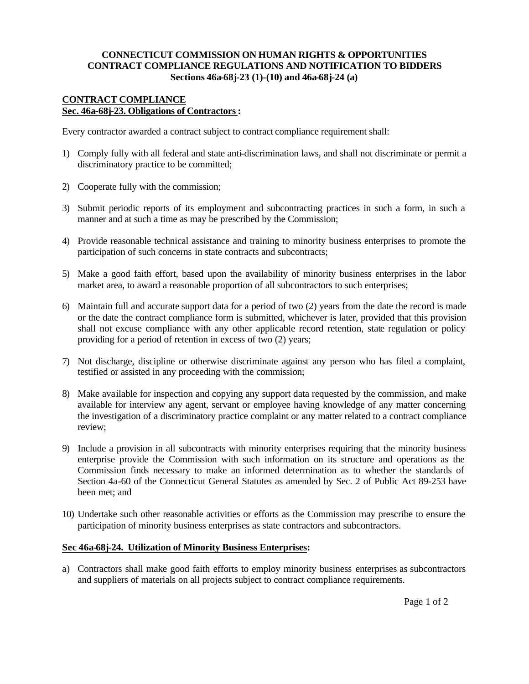#### **CONNECTICUT COMMISSION ON HUMAN RIGHTS & OPPORTUNITIES CONTRACT COMPLIANCE REGULATIONS AND NOTIFICATION TO BIDDERS Sections 46a-68j-23 (1)-(10) and 46a-68j-24 (a)**

#### **CONTRACT COMPLIANCE Sec. 46a-68j-23. Obligations of Contractors :**

Every contractor awarded a contract subject to contract compliance requirement shall:

- 1) Comply fully with all federal and state anti-discrimination laws, and shall not discriminate or permit a discriminatory practice to be committed;
- 2) Cooperate fully with the commission;
- 3) Submit periodic reports of its employment and subcontracting practices in such a form, in such a manner and at such a time as may be prescribed by the Commission;
- 4) Provide reasonable technical assistance and training to minority business enterprises to promote the participation of such concerns in state contracts and subcontracts;
- 5) Make a good faith effort, based upon the availability of minority business enterprises in the labor market area, to award a reasonable proportion of all subcontractors to such enterprises;
- 6) Maintain full and accurate support data for a period of two (2) years from the date the record is made or the date the contract compliance form is submitted, whichever is later, provided that this provision shall not excuse compliance with any other applicable record retention, state regulation or policy providing for a period of retention in excess of two (2) years;
- 7) Not discharge, discipline or otherwise discriminate against any person who has filed a complaint, testified or assisted in any proceeding with the commission;
- 8) Make available for inspection and copying any support data requested by the commission, and make available for interview any agent, servant or employee having knowledge of any matter concerning the investigation of a discriminatory practice complaint or any matter related to a contract compliance review;
- 9) Include a provision in all subcontracts with minority enterprises requiring that the minority business enterprise provide the Commission with such information on its structure and operations as the Commission finds necessary to make an informed determination as to whether the standards of Section 4a-60 of the Connecticut General Statutes as amended by Sec. 2 of Public Act 89-253 have been met; and
- 10) Undertake such other reasonable activities or efforts as the Commission may prescribe to ensure the participation of minority business enterprises as state contractors and subcontractors.

#### **Sec 46a-68j-24. Utilization of Minority Business Enterprises:**

a) Contractors shall make good faith efforts to employ minority business enterprises as subcontractors and suppliers of materials on all projects subject to contract compliance requirements.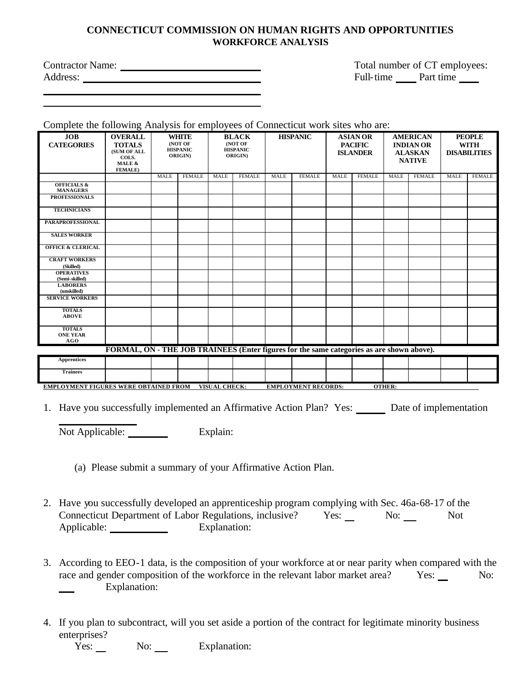### **CONNECTICUT COMMISSION ON HUMAN RIGHTS AND OPPORTUNITIES WORKFORCE ANALYSIS**

| <b>Contractor Name:</b> |  |
|-------------------------|--|
| Address:                |  |

Total number of CT employees: Full-time Part time

Complete the following Analysis for employees of Connecticut work sites who are:

| <b>JOB</b><br><b>CATEGORIES</b>                                                                       | <b>OVERALL</b><br><b>TOTALS</b><br>(SUM OF ALL<br>COLS.<br>MALE &<br><b>FEMALE</b> ) | <b>WHITE</b><br>(NOT OF<br><b>HISPANIC</b><br>ORIGIN) |               | <b>BLACK</b><br>(NOT OF<br><b>HISPANIC</b><br><b>ORIGIN</b> |               | <b>HISPANIC</b> |               | <b>ASIAN OR</b><br><b>PACIFIC</b><br><b>ISLANDER</b> |               | <b>AMERICAN</b><br><b>INDIAN OR</b><br><b>ALASKAN</b><br><b>NATIVE</b> |               | <b>PEOPLE</b><br><b>WITH</b><br><b>DISABILITIES</b> |               |
|-------------------------------------------------------------------------------------------------------|--------------------------------------------------------------------------------------|-------------------------------------------------------|---------------|-------------------------------------------------------------|---------------|-----------------|---------------|------------------------------------------------------|---------------|------------------------------------------------------------------------|---------------|-----------------------------------------------------|---------------|
|                                                                                                       |                                                                                      | <b>MALE</b>                                           | <b>FEMALE</b> | <b>MALE</b>                                                 | <b>FEMALE</b> | <b>MALE</b>     | <b>FEMALE</b> | <b>MALE</b>                                          | <b>FEMALE</b> | <b>MALE</b>                                                            | <b>FEMALE</b> | <b>MALE</b>                                         | <b>FEMALE</b> |
| <b>OFFICIALS &amp;</b><br><b>MANAGERS</b>                                                             |                                                                                      |                                                       |               |                                                             |               |                 |               |                                                      |               |                                                                        |               |                                                     |               |
| <b>PROFESSIONALS</b>                                                                                  |                                                                                      |                                                       |               |                                                             |               |                 |               |                                                      |               |                                                                        |               |                                                     |               |
| <b>TECHNICIANS</b>                                                                                    |                                                                                      |                                                       |               |                                                             |               |                 |               |                                                      |               |                                                                        |               |                                                     |               |
| <b>PARAPROFESSIONAL</b>                                                                               |                                                                                      |                                                       |               |                                                             |               |                 |               |                                                      |               |                                                                        |               |                                                     |               |
| <b>SALES WORKER</b>                                                                                   |                                                                                      |                                                       |               |                                                             |               |                 |               |                                                      |               |                                                                        |               |                                                     |               |
| <b>OFFICE &amp; CLERICAL</b>                                                                          |                                                                                      |                                                       |               |                                                             |               |                 |               |                                                      |               |                                                                        |               |                                                     |               |
| <b>CRAFT WORKERS</b><br>(Skilled)                                                                     |                                                                                      |                                                       |               |                                                             |               |                 |               |                                                      |               |                                                                        |               |                                                     |               |
| <b>OPERATIVES</b><br>(Semi-skilled)                                                                   |                                                                                      |                                                       |               |                                                             |               |                 |               |                                                      |               |                                                                        |               |                                                     |               |
| <b>LABORERS</b><br>(unskilled)                                                                        |                                                                                      |                                                       |               |                                                             |               |                 |               |                                                      |               |                                                                        |               |                                                     |               |
| <b>SERVICE WORKERS</b>                                                                                |                                                                                      |                                                       |               |                                                             |               |                 |               |                                                      |               |                                                                        |               |                                                     |               |
| <b>TOTALS</b><br><b>ABOVE</b>                                                                         |                                                                                      |                                                       |               |                                                             |               |                 |               |                                                      |               |                                                                        |               |                                                     |               |
| <b>TOTALS</b><br><b>ONE YEAR</b><br>AGO                                                               |                                                                                      |                                                       |               |                                                             |               |                 |               |                                                      |               |                                                                        |               |                                                     |               |
| FORMAL, ON - THE JOB TRAINEES (Enter figures for the same categories as are shown above).             |                                                                                      |                                                       |               |                                                             |               |                 |               |                                                      |               |                                                                        |               |                                                     |               |
| <b>Apprentices</b>                                                                                    |                                                                                      |                                                       |               |                                                             |               |                 |               |                                                      |               |                                                                        |               |                                                     |               |
| <b>Trainees</b>                                                                                       |                                                                                      |                                                       |               |                                                             |               |                 |               |                                                      |               |                                                                        |               |                                                     |               |
| OTHER:<br><b>EMPLOYMENT FIGURES WERE OBTAINED FROM</b><br>VISUAL CHECK:<br><b>EMPLOYMENT RECORDS:</b> |                                                                                      |                                                       |               |                                                             |               |                 |               |                                                      |               |                                                                        |               |                                                     |               |

1. Have you successfully implemented an Affirmative Action Plan? Yes: Date of implementation

Not Applicable: Explain:

- (a) Please submit a summary of your Affirmative Action Plan.
- 2. Have you successfully developed an apprenticeship program complying with Sec. 46a-68-17 of the Connecticut Department of Labor Regulations, inclusive? Yes: No: Not Applicable: Explanation:
- 3. According to EEO-1 data, is the composition of your workforce at or near parity when compared with the race and gender composition of the workforce in the relevant labor market area? Yes: No: Explanation:
- 4. If you plan to subcontract, will you set aside a portion of the contract for legitimate minority business enterprises?

Yes: No: Explanation: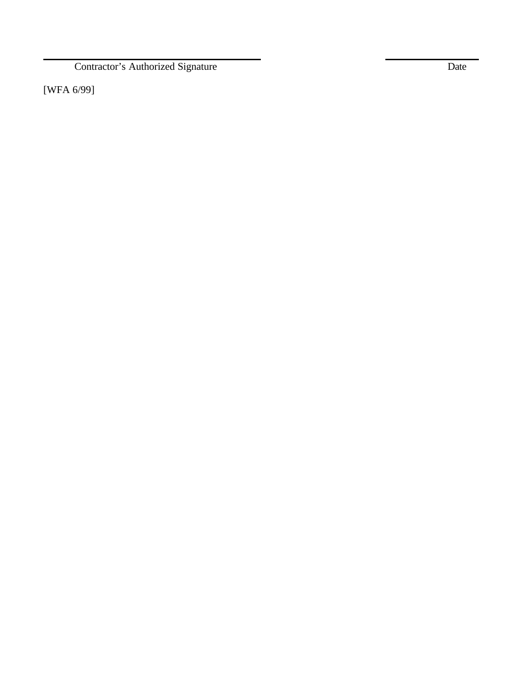Contractor's Authorized Signature Date

[WFA 6/99]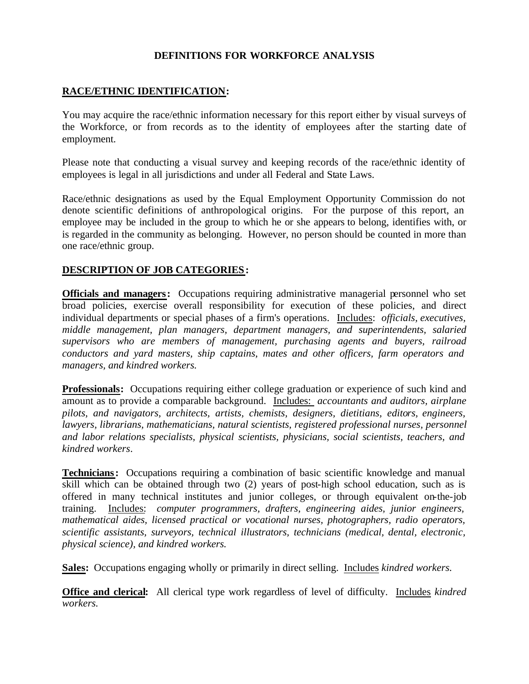### **DEFINITIONS FOR WORKFORCE ANALYSIS**

### **RACE/ETHNIC IDENTIFICATION:**

You may acquire the race/ethnic information necessary for this report either by visual surveys of the Workforce, or from records as to the identity of employees after the starting date of employment.

Please note that conducting a visual survey and keeping records of the race/ethnic identity of employees is legal in all jurisdictions and under all Federal and State Laws.

Race/ethnic designations as used by the Equal Employment Opportunity Commission do not denote scientific definitions of anthropological origins. For the purpose of this report, an employee may be included in the group to which he or she appears to belong, identifies with, or is regarded in the community as belonging. However, no person should be counted in more than one race/ethnic group.

### **DESCRIPTION OF JOB CATEGORIES :**

**Officials and managers:** Occupations requiring administrative managerial personnel who set broad policies, exercise overall responsibility for execution of these policies, and direct individual departments or special phases of a firm's operations. Includes: *officials, executives, middle management, plan managers, department managers, and superintendents, salaried supervisors who are members of management, purchasing agents and buyers, railroad conductors and yard masters, ship captains, mates and other officers, farm operators and managers, and kindred workers.* 

**Professionals:** Occupations requiring either college graduation or experience of such kind and amount as to provide a comparable background. Includes: *accountants and auditors, airplane pilots, and navigators, architects, artists, chemists, designers, dietitians, editors, engineers, lawyers, librarians, mathematicians, natural scientists, registered professional nurses, personnel and labor relations specialists, physical scientists, physicians, social scientists, teachers, and kindred workers*.

**Technicians:** Occupations requiring a combination of basic scientific knowledge and manual skill which can be obtained through two (2) years of post-high school education, such as is offered in many technical institutes and junior colleges, or through equivalent on-the-job training. Includes: *computer programmers, drafters, engineering aides, junior engineers, mathematical aides, licensed practical or vocational nurses, photographers, radio operators, scientific assistants, surveyors, technical illustrators, technicians (medical, dental, electronic, physical science), and kindred workers.* 

**Sales:** Occupations engaging wholly or primarily in direct selling. Includes *kindred workers.* 

**Office and clerical:** All clerical type work regardless of level of difficulty. Includes *kindred workers.*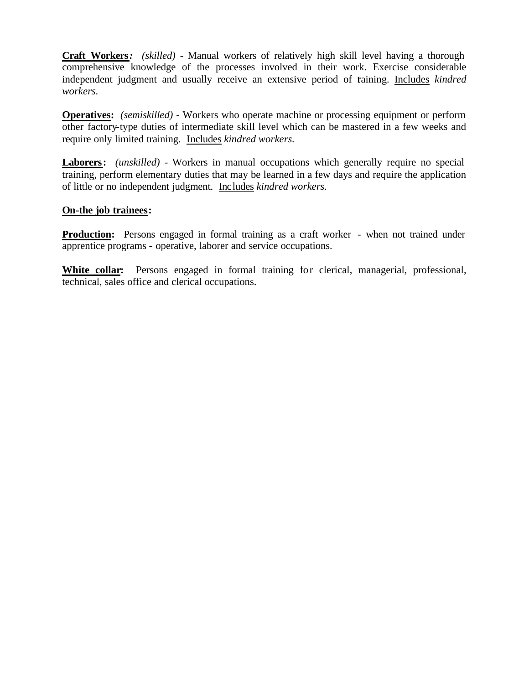**Craft Workers:** *(skilled)* - Manual workers of relatively high skill level having a thorough comprehensive knowledge of the processes involved in their work. Exercise considerable independent judgment and usually receive an extensive period of taining. Includes *kindred workers.* 

**Operatives:** *(semiskilled) -* Workers who operate machine or processing equipment or perform other factory-type duties of intermediate skill level which can be mastered in a few weeks and require only limited training. Includes *kindred workers.* 

**Laborers:** *(unskilled) -* Workers in manual occupations which generally require no special training, perform elementary duties that may be learned in a few days and require the application of little or no independent judgment. Includes *kindred workers.* 

### **On-the job trainees:**

**Production:** Persons engaged in formal training as a craft worker - when not trained under apprentice programs - operative, laborer and service occupations.

**White collar:** Persons engaged in formal training for clerical, managerial, professional, technical, sales office and clerical occupations.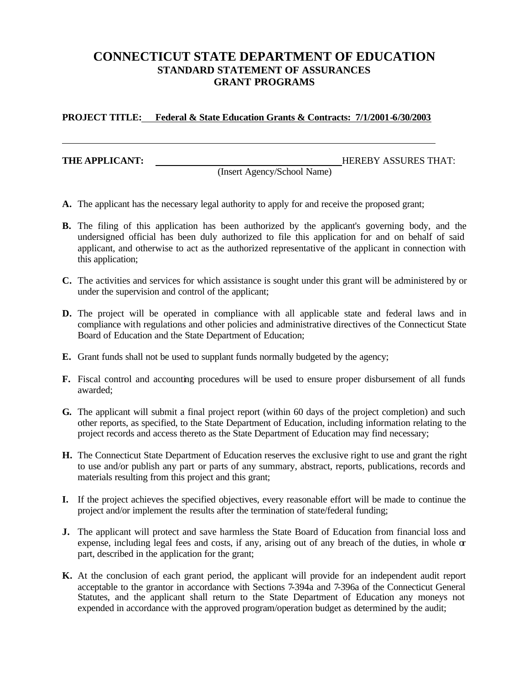## **CONNECTICUT STATE DEPARTMENT OF EDUCATION STANDARD STATEMENT OF ASSURANCES GRANT PROGRAMS**

**PROJECT TITLE: Federal & State Education Grants & Contracts: 7/1/2001-6/30/2003** 

**THE APPLICANT: HEREBY ASSURES THAT:** 

(Insert Agency/School Name)

- **A.** The applicant has the necessary legal authority to apply for and receive the proposed grant;
- **B.** The filing of this application has been authorized by the applicant's governing body, and the undersigned official has been duly authorized to file this application for and on behalf of said applicant, and otherwise to act as the authorized representative of the applicant in connection with this application;
- **C.** The activities and services for which assistance is sought under this grant will be administered by or under the supervision and control of the applicant;
- **D.** The project will be operated in compliance with all applicable state and federal laws and in compliance with regulations and other policies and administrative directives of the Connecticut State Board of Education and the State Department of Education;
- **E.** Grant funds shall not be used to supplant funds normally budgeted by the agency;
- **F.** Fiscal control and accounting procedures will be used to ensure proper disbursement of all funds awarded;
- **G.** The applicant will submit a final project report (within 60 days of the project completion) and such other reports, as specified, to the State Department of Education, including information relating to the project records and access thereto as the State Department of Education may find necessary;
- **H.** The Connecticut State Department of Education reserves the exclusive right to use and grant the right to use and/or publish any part or parts of any summary, abstract, reports, publications, records and materials resulting from this project and this grant;
- **I.** If the project achieves the specified objectives, every reasonable effort will be made to continue the project and/or implement the results after the termination of state/federal funding;
- **J.** The applicant will protect and save harmless the State Board of Education from financial loss and expense, including legal fees and costs, if any, arising out of any breach of the duties, in whole  $\alpha$ part, described in the application for the grant;
- **K.** At the conclusion of each grant period, the applicant will provide for an independent audit report acceptable to the grantor in accordance with Sections 7-394a and 7-396a of the Connecticut General Statutes, and the applicant shall return to the State Department of Education any moneys not expended in accordance with the approved program/operation budget as determined by the audit;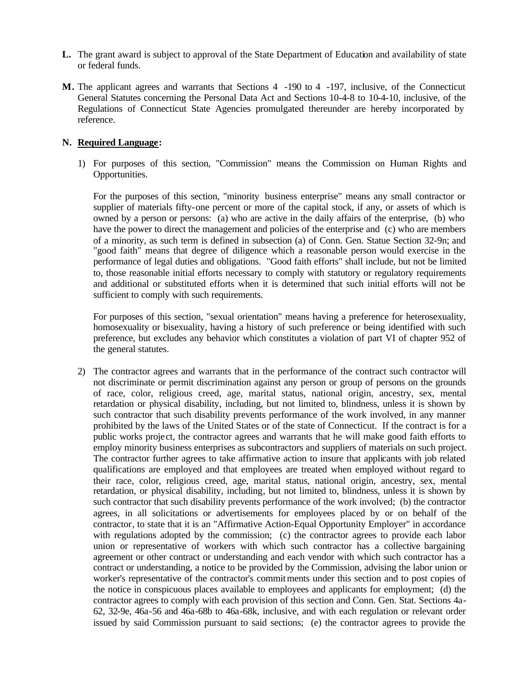- **L.** The grant award is subject to approval of the State Department of Education and availability of state or federal funds.
- **M.** The applicant agrees and warrants that Sections 4 -190 to 4 -197, inclusive, of the Connecticut General Statutes concerning the Personal Data Act and Sections 10-4-8 to 10-4-10, inclusive, of the Regulations of Connecticut State Agencies promulgated thereunder are hereby incorporated by reference.

#### **N. Required Language:**

1) For purposes of this section, "Commission" means the Commission on Human Rights and Opportunities.

For the purposes of this section, "minority business enterprise" means any small contractor or supplier of materials fifty-one percent or more of the capital stock, if any, or assets of which is owned by a person or persons: (a) who are active in the daily affairs of the enterprise, (b) who have the power to direct the management and policies of the enterprise and (c) who are members of a minority, as such term is defined in subsection (a) of Conn. Gen. Statue Section 32-9n; and "good faith" means that degree of diligence which a reasonable person would exercise in the performance of legal duties and obligations. "Good faith efforts" shall include, but not be limited to, those reasonable initial efforts necessary to comply with statutory or regulatory requirements and additional or substituted efforts when it is determined that such initial efforts will not be sufficient to comply with such requirements.

For purposes of this section, "sexual orientation" means having a preference for heterosexuality, homosexuality or bisexuality, having a history of such preference or being identified with such preference, but excludes any behavior which constitutes a violation of part VI of chapter 952 of the general statutes.

2) The contractor agrees and warrants that in the performance of the contract such contractor will not discriminate or permit discrimination against any person or group of persons on the grounds of race, color, religious creed, age, marital status, national origin, ancestry, sex, mental retardation or physical disability, including, but not limited to, blindness, unless it is shown by such contractor that such disability prevents performance of the work involved, in any manner prohibited by the laws of the United States or of the state of Connecticut. If the contract is for a public works proje ct, the contractor agrees and warrants that he will make good faith efforts to employ minority business enterprises as subcontractors and suppliers of materials on such project. The contractor further agrees to take affirmative action to insure that applicants with job related qualifications are employed and that employees are treated when employed without regard to their race, color, religious creed, age, marital status, national origin, ancestry, sex, mental retardation, or physical disability, including, but not limited to, blindness, unless it is shown by such contractor that such disability prevents performance of the work involved; (b) the contractor agrees, in all solicitations or advertisements for employees placed by or on behalf of the contractor, to state that it is an "Affirmative Action-Equal Opportunity Employer" in accordance with regulations adopted by the commission; (c) the contractor agrees to provide each labor union or representative of workers with which such contractor has a collective bargaining agreement or other contract or understanding and each vendor with which such contractor has a contract or understanding, a notice to be provided by the Commission, advising the labor union or worker's representative of the contractor's commit ments under this section and to post copies of the notice in conspicuous places available to employees and applicants for employment; (d) the contractor agrees to comply with each provision of this section and Conn. Gen. Stat. Sections 4a-62, 32-9e, 46a-56 and 46a-68b to 46a-68k, inclusive, and with each regulation or relevant order issued by said Commission pursuant to said sections; (e) the contractor agrees to provide the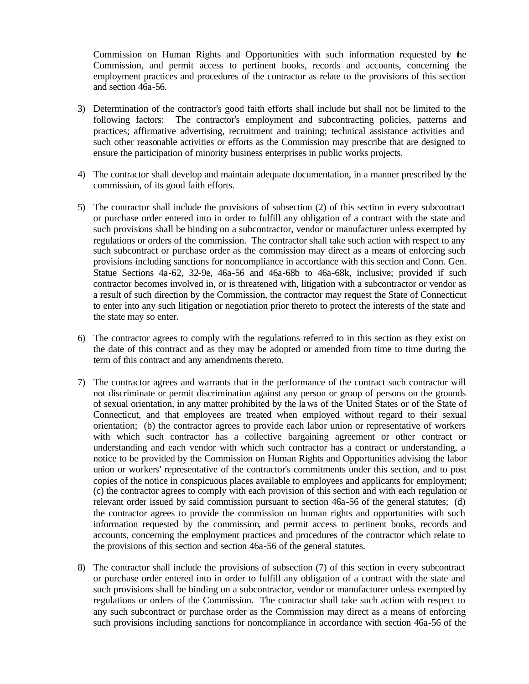Commission on Human Rights and Opportunities with such information requested by the Commission, and permit access to pertinent books, records and accounts, concerning the employment practices and procedures of the contractor as relate to the provisions of this section and section 46a-56.

- 3) Determination of the contractor's good faith efforts shall include but shall not be limited to the following factors: The contractor's employment and subcontracting policies, patterns and practices; affirmative advertising, recruitment and training; technical assistance activities and such other reasonable activities or efforts as the Commission may prescribe that are designed to ensure the participation of minority business enterprises in public works projects.
- 4) The contractor shall develop and maintain adequate documentation, in a manner prescribed by the commission, of its good faith efforts.
- 5) The contractor shall include the provisions of subsection (2) of this section in every subcontract or purchase order entered into in order to fulfill any obligation of a contract with the state and such provisions shall be binding on a subcontractor, vendor or manufacturer unless exempted by regulations or orders of the commission. The contractor shall take such action with respect to any such subcontract or purchase order as the commission may direct as a means of enforcing such provisions including sanctions for noncompliance in accordance with this section and Conn. Gen. Statue Sections 4a-62, 32-9e, 46a-56 and 46a-68b to 46a-68k, inclusive; provided if such contractor becomes involved in, or is threatened with, litigation with a subcontractor or vendor as a result of such direction by the Commission, the contractor may request the State of Connecticut to enter into any such litigation or negotiation prior thereto to protect the interests of the state and the state may so enter.
- 6) The contractor agrees to comply with the regulations referred to in this section as they exist on the date of this contract and as they may be adopted or amended from time to time during the term of this contract and any amendments thereto.
- 7) The contractor agrees and warrants that in the performance of the contract such contractor will not discriminate or permit discrimination against any person or group of persons on the grounds of sexual orientation, in any matter prohibited by the la ws of the United States or of the State of Connecticut, and that employees are treated when employed without regard to their sexual orientation; (b) the contractor agrees to provide each labor union or representative of workers with which such contractor has a collective bargaining agreement or other contract or understanding and each vendor with which such contractor has a contract or understanding, a notice to be provided by the Commission on Human Rights and Opportunities advising the labor union or workers' representative of the contractor's commitments under this section, and to post copies of the notice in conspicuous places available to employees and applicants for employment; (c) the contractor agrees to comply with each provision of this section and with each regulation or relevant order issued by said commission pursuant to section 46a-56 of the general statutes; (d) the contractor agrees to provide the commission on human rights and opportunities with such information requested by the commission, and permit access to pertinent books, records and accounts, concerning the employment practices and procedures of the contractor which relate to the provisions of this section and section 46a-56 of the general statutes.
- 8) The contractor shall include the provisions of subsection (7) of this section in every subcontract or purchase order entered into in order to fulfill any obligation of a contract with the state and such provisions shall be binding on a subcontractor, vendor or manufacturer unless exempted by regulations or orders of the Commission. The contractor shall take such action with respect to any such subcontract or purchase order as the Commission may direct as a means of enforcing such provisions including sanctions for noncompliance in accordance with section 46a-56 of the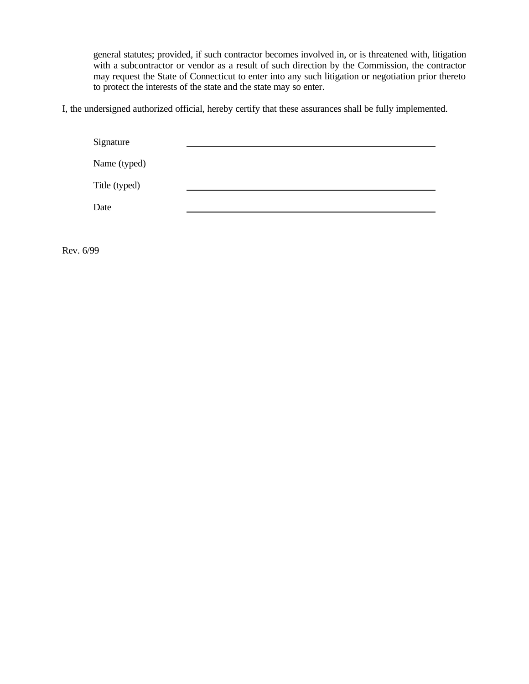general statutes; provided, if such contractor becomes involved in, or is threatened with, litigation with a subcontractor or vendor as a result of such direction by the Commission, the contractor may request the State of Connecticut to enter into any such litigation or negotiation prior thereto to protect the interests of the state and the state may so enter.

I, the undersigned authorized official, hereby certify that these assurances shall be fully implemented.

| Signature     |  |
|---------------|--|
| Name (typed)  |  |
| Title (typed) |  |
| Date          |  |

Rev. 6/99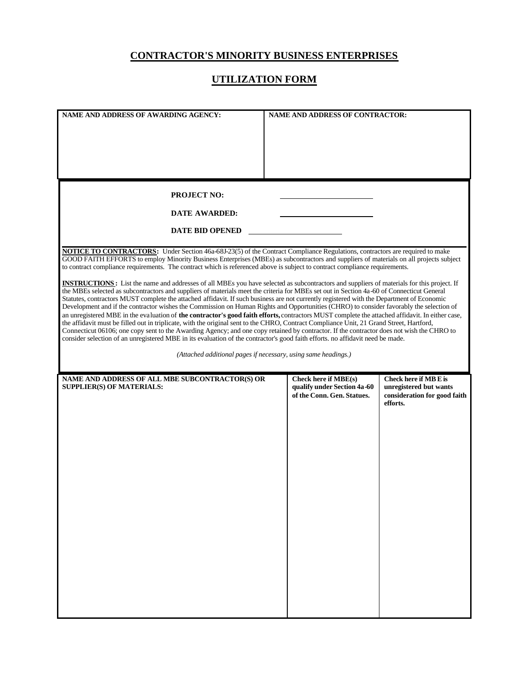## **CONTRACTOR'S MINORITY BUSINESS ENTERPRISES**

## **UTILIZATION FORM**

| <b>NAME AND ADDRESS OF AWARDING AGENCY:</b>                                                                                                                                                                                                                                          | <b>NAME AND ADDRESS OF CONTRACTOR:</b>                    |                                          |  |  |  |  |
|--------------------------------------------------------------------------------------------------------------------------------------------------------------------------------------------------------------------------------------------------------------------------------------|-----------------------------------------------------------|------------------------------------------|--|--|--|--|
|                                                                                                                                                                                                                                                                                      |                                                           |                                          |  |  |  |  |
|                                                                                                                                                                                                                                                                                      |                                                           |                                          |  |  |  |  |
|                                                                                                                                                                                                                                                                                      |                                                           |                                          |  |  |  |  |
|                                                                                                                                                                                                                                                                                      |                                                           |                                          |  |  |  |  |
|                                                                                                                                                                                                                                                                                      |                                                           |                                          |  |  |  |  |
|                                                                                                                                                                                                                                                                                      |                                                           |                                          |  |  |  |  |
|                                                                                                                                                                                                                                                                                      |                                                           |                                          |  |  |  |  |
| <b>PROJECT NO:</b>                                                                                                                                                                                                                                                                   |                                                           |                                          |  |  |  |  |
| <b>DATE AWARDED:</b>                                                                                                                                                                                                                                                                 |                                                           |                                          |  |  |  |  |
|                                                                                                                                                                                                                                                                                      |                                                           |                                          |  |  |  |  |
| <b>DATE BID OPENED</b>                                                                                                                                                                                                                                                               |                                                           |                                          |  |  |  |  |
|                                                                                                                                                                                                                                                                                      |                                                           |                                          |  |  |  |  |
| <b>NOTICE TO CONTRACTORS:</b> Under Section 46a-68J-23(5) of the Contract Compliance Regulations, contractors are required to make<br>GOOD FAITH EFFORTS to employ Minority Business Enterprises (MBEs) as subcontractors and suppliers of materials on all projects subject         |                                                           |                                          |  |  |  |  |
| to contract compliance requirements. The contract which is referenced above is subject to contract compliance requirements.                                                                                                                                                          |                                                           |                                          |  |  |  |  |
| <b>INSTRUCTIONS</b> : List the name and addresses of all MBEs you have selected as subcontractors and suppliers of materials for this project. If                                                                                                                                    |                                                           |                                          |  |  |  |  |
| the MBEs selected as subcontractors and suppliers of materials meet the criteria for MBEs set out in Section 4a-60 of Connecticut General                                                                                                                                            |                                                           |                                          |  |  |  |  |
| Statutes, contractors MUST complete the attached affidavit. If such business are not currently registered with the Department of Economic<br>Development and if the contractor wishes the Commission on Human Rights and Opportunities (CHRO) to consider favorably the selection of |                                                           |                                          |  |  |  |  |
| an unregistered MBE in the evaluation of the contractor's good faith efforts, contractors MUST complete the attached affidavit. In either case,                                                                                                                                      |                                                           |                                          |  |  |  |  |
| the affidavit must be filled out in triplicate, with the original sent to the CHRO, Contract Compliance Unit, 21 Grand Street, Hartford,                                                                                                                                             |                                                           |                                          |  |  |  |  |
| Connecticut 06106; one copy sent to the Awarding Agency; and one copy retained by contractor. If the contractor does not wish the CHRO to<br>consider selection of an unregistered MBE in its evaluation of the contractor's good faith efforts. no affidavit need be made.          |                                                           |                                          |  |  |  |  |
|                                                                                                                                                                                                                                                                                      |                                                           |                                          |  |  |  |  |
| (Attached additional pages if necessary, using same headings.)                                                                                                                                                                                                                       |                                                           |                                          |  |  |  |  |
|                                                                                                                                                                                                                                                                                      |                                                           |                                          |  |  |  |  |
|                                                                                                                                                                                                                                                                                      |                                                           |                                          |  |  |  |  |
| NAME AND ADDRESS OF ALL MBE SUBCONTRACTOR(S) OR                                                                                                                                                                                                                                      | Check here if MBE(s)                                      | Check here if MB E is                    |  |  |  |  |
| <b>SUPPLIER(S) OF MATERIALS:</b>                                                                                                                                                                                                                                                     | qualify under Section 4a-60<br>of the Conn. Gen. Statues. | unregistered but wants                   |  |  |  |  |
|                                                                                                                                                                                                                                                                                      |                                                           | consideration for good faith<br>efforts. |  |  |  |  |
|                                                                                                                                                                                                                                                                                      |                                                           |                                          |  |  |  |  |
|                                                                                                                                                                                                                                                                                      |                                                           |                                          |  |  |  |  |
|                                                                                                                                                                                                                                                                                      |                                                           |                                          |  |  |  |  |
|                                                                                                                                                                                                                                                                                      |                                                           |                                          |  |  |  |  |
|                                                                                                                                                                                                                                                                                      |                                                           |                                          |  |  |  |  |
|                                                                                                                                                                                                                                                                                      |                                                           |                                          |  |  |  |  |
|                                                                                                                                                                                                                                                                                      |                                                           |                                          |  |  |  |  |
|                                                                                                                                                                                                                                                                                      |                                                           |                                          |  |  |  |  |
|                                                                                                                                                                                                                                                                                      |                                                           |                                          |  |  |  |  |
|                                                                                                                                                                                                                                                                                      |                                                           |                                          |  |  |  |  |
|                                                                                                                                                                                                                                                                                      |                                                           |                                          |  |  |  |  |
|                                                                                                                                                                                                                                                                                      |                                                           |                                          |  |  |  |  |
|                                                                                                                                                                                                                                                                                      |                                                           |                                          |  |  |  |  |
|                                                                                                                                                                                                                                                                                      |                                                           |                                          |  |  |  |  |
|                                                                                                                                                                                                                                                                                      |                                                           |                                          |  |  |  |  |
|                                                                                                                                                                                                                                                                                      |                                                           |                                          |  |  |  |  |
|                                                                                                                                                                                                                                                                                      |                                                           |                                          |  |  |  |  |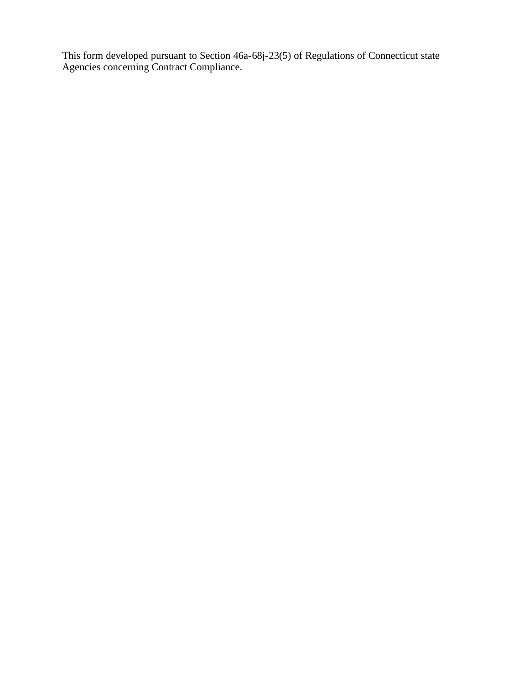This form developed pursuant to Section 46a-68j-23(5) of Regulations of Connecticut state Agencies concerning Contract Compliance.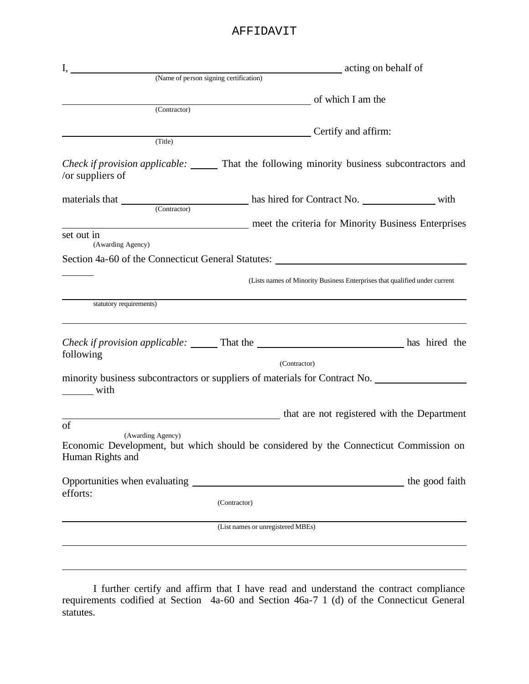### AFFIDAVIT

| (Contractor)                                                                                                                                                                                                                                                                                                                                                                                                         | of which I am the                 |                                                                                                |
|----------------------------------------------------------------------------------------------------------------------------------------------------------------------------------------------------------------------------------------------------------------------------------------------------------------------------------------------------------------------------------------------------------------------|-----------------------------------|------------------------------------------------------------------------------------------------|
| (Title)                                                                                                                                                                                                                                                                                                                                                                                                              |                                   | Certify and affirm:                                                                            |
| /or suppliers of                                                                                                                                                                                                                                                                                                                                                                                                     |                                   | <i>Check if provision applicable:</i> That the following minority business subcontractors and  |
| materials that Contractor Contractor Contract No. with                                                                                                                                                                                                                                                                                                                                                               |                                   |                                                                                                |
|                                                                                                                                                                                                                                                                                                                                                                                                                      |                                   | meet the criteria for Minority Business Enterprises                                            |
| set out in<br>(Awarding Agency)                                                                                                                                                                                                                                                                                                                                                                                      |                                   |                                                                                                |
| Section 4a-60 of the Connecticut General Statutes: Manual Assembly 3.1 Section 4a-60 of the Connecticut General Statutes:                                                                                                                                                                                                                                                                                            |                                   |                                                                                                |
|                                                                                                                                                                                                                                                                                                                                                                                                                      |                                   | (Lists names of Minority Business Enterprises that qualified under current                     |
| statutory requirements)                                                                                                                                                                                                                                                                                                                                                                                              |                                   |                                                                                                |
| following                                                                                                                                                                                                                                                                                                                                                                                                            |                                   | Check if provision applicable: ______ That the _________________________________ has hired the |
|                                                                                                                                                                                                                                                                                                                                                                                                                      | (Contractor)                      |                                                                                                |
| $\frac{1}{\sqrt{1-\frac{1}{2}}\sqrt{1-\frac{1}{2}}\sqrt{1-\frac{1}{2}}\sqrt{1-\frac{1}{2}}\sqrt{1-\frac{1}{2}}\sqrt{1-\frac{1}{2}}\sqrt{1-\frac{1}{2}}\sqrt{1-\frac{1}{2}}\sqrt{1-\frac{1}{2}}\sqrt{1-\frac{1}{2}}\sqrt{1-\frac{1}{2}}\sqrt{1-\frac{1}{2}}\sqrt{1-\frac{1}{2}}\sqrt{1-\frac{1}{2}}\sqrt{1-\frac{1}{2}}\sqrt{1-\frac{1}{2}}\sqrt{1-\frac{1}{2}}\sqrt{1-\frac{1}{2}}\sqrt{1-\frac{1}{2}}\sqrt{1-\frac$ |                                   | minority business subcontractors or suppliers of materials for Contract No.                    |
|                                                                                                                                                                                                                                                                                                                                                                                                                      |                                   | that are not registered with the Department                                                    |
| of<br>(Awarding Agency)<br>Human Rights and                                                                                                                                                                                                                                                                                                                                                                          |                                   | Economic Development, but which should be considered by the Connecticut Commission on          |
|                                                                                                                                                                                                                                                                                                                                                                                                                      |                                   |                                                                                                |
| efforts:                                                                                                                                                                                                                                                                                                                                                                                                             | (Contractor)                      |                                                                                                |
|                                                                                                                                                                                                                                                                                                                                                                                                                      | (List names or unregistered MBEs) |                                                                                                |
|                                                                                                                                                                                                                                                                                                                                                                                                                      |                                   |                                                                                                |

I further certify and affirm that I have read and understand the contract compliance requirements codified at Section 4a-60 and Section 46a-7 1 (d) of the Connecticut General statutes.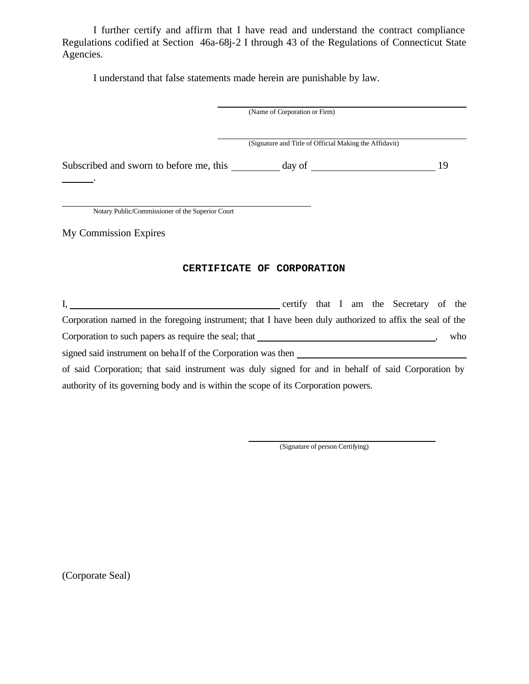I further certify and affirm that I have read and understand the contract compliance Regulations codified at Section 46a-68j-2 I through 43 of the Regulations of Connecticut State Agencies.

I understand that false statements made herein are punishable by law.

|                                                                                                          | (Name of Corporation or Firm)                          |  |  |    |     |
|----------------------------------------------------------------------------------------------------------|--------------------------------------------------------|--|--|----|-----|
|                                                                                                          | (Signature and Title of Official Making the Affidavit) |  |  |    |     |
| Subscribed and sworn to before me, this __________ day of                                                |                                                        |  |  | 19 |     |
|                                                                                                          |                                                        |  |  |    |     |
| Notary Public/Commissioner of the Superior Court                                                         |                                                        |  |  |    |     |
| My Commission Expires                                                                                    |                                                        |  |  |    |     |
| CERTIFICATE OF CORPORATION                                                                               |                                                        |  |  |    |     |
| certify that I am the Secretary of the                                                                   |                                                        |  |  |    |     |
| Corporation named in the foregoing instrument; that I have been duly authorized to affix the seal of the |                                                        |  |  |    |     |
|                                                                                                          |                                                        |  |  |    | who |
| signed said instrument on behalf of the Corporation was then                                             |                                                        |  |  |    |     |

of said Corporation; that said instrument was duly signed for and in behalf of said Corporation by authority of its governing body and is within the scope of its Corporation powers.

(Signature of person Certifying)

(Corporate Seal)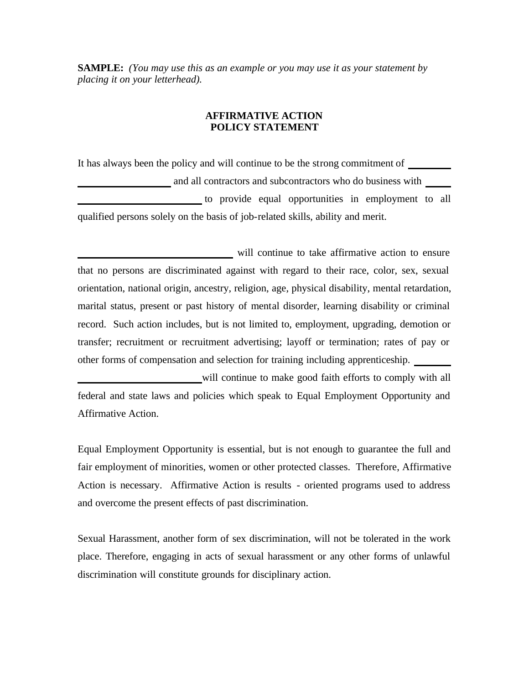**SAMPLE:** *(You may use this as an example or you may use it as your statement by placing it on your letterhead).* 

#### **AFFIRMATIVE ACTION POLICY STATEMENT**

It has always been the policy and will continue to be the strong commitment of and all contractors and subcontractors who do business with to provide equal opportunities in employment to all qualified persons solely on the basis of job-related skills, ability and merit.

will continue to take affirmative action to ensure that no persons are discriminated against with regard to their race, color, sex, sexual orientation, national origin, ancestry, religion, age, physical disability, mental retardation, marital status, present or past history of mental disorder, learning disability or criminal record. Such action includes, but is not limited to, employment, upgrading, demotion or transfer; recruitment or recruitment advertising; layoff or termination; rates of pay or other forms of compensation and selection for training including apprenticeship.

will continue to make good faith efforts to comply with all federal and state laws and policies which speak to Equal Employment Opportunity and Affirmative Action.

Equal Employment Opportunity is essential, but is not enough to guarantee the full and fair employment of minorities, women or other protected classes. Therefore, Affirmative Action is necessary. Affirmative Action is results - oriented programs used to address and overcome the present effects of past discrimination.

Sexual Harassment, another form of sex discrimination, will not be tolerated in the work place. Therefore, engaging in acts of sexual harassment or any other forms of unlawful discrimination will constitute grounds for disciplinary action.